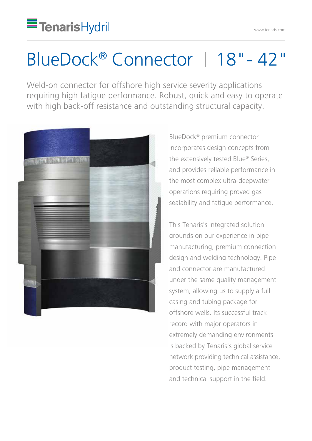## BlueDock® Connector | 18"-42"

Weld-on connector for offshore high service severity applications requiring high fatigue performance. Robust, quick and easy to operate with high back-off resistance and outstanding structural capacity.



BlueDock® premium connector incorporates design concepts from the extensively tested Blue® Series, and provides reliable performance in the most complex ultra-deepwater operations requiring proved gas sealability and fatigue performance.

This Tenaris's integrated solution grounds on our experience in pipe manufacturing, premium connection design and welding technology. Pipe and connector are manufactured under the same quality management system, allowing us to supply a full casing and tubing package for offshore wells. Its successful track record with major operators in extremely demanding environments is backed by Tenaris's global service network providing technical assistance, product testing, pipe management and technical support in the field.